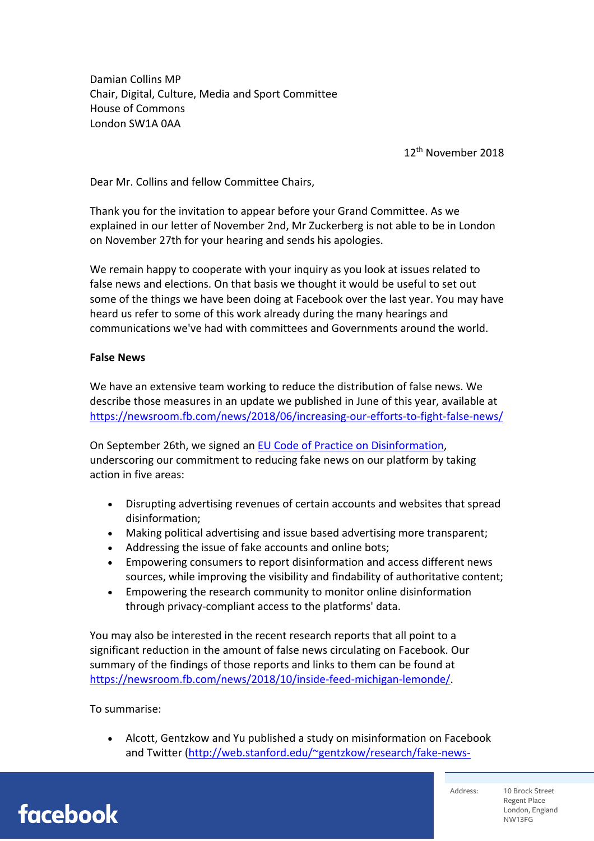Damian Collins MP Chair, Digital, Culture, Media and Sport Committee House of Commons London SW1A 0AA

12th November 2018

Dear Mr. Collins and fellow Committee Chairs,

Thank you for the invitation to appear before your Grand Committee. As we explained in our letter of November 2nd, Mr Zuckerberg is not able to be in London on November 27th for your hearing and sends his apologies.

We remain happy to cooperate with your inquiry as you look at issues related to false news and elections. On that basis we thought it would be useful to set out some of the things we have been doing at Facebook over the last year. You may have heard us refer to some of this work already during the many hearings and communications we've had with committees and Governments around the world.

## **False News**

We have an extensive team working to reduce the distribution of false news. We describe those measures in an update we published in June of this year, available at https://newsroom.fb.com/news/2018/06/increasing-our-efforts-to-fight-false-news/

On September 26th, we signed an EU Code of Practice on Disinformation, underscoring our commitment to reducing fake news on our platform by taking action in five areas:

- Disrupting advertising revenues of certain accounts and websites that spread disinformation;
- Making political advertising and issue based advertising more transparent;
- Addressing the issue of fake accounts and online bots;
- Empowering consumers to report disinformation and access different news sources, while improving the visibility and findability of authoritative content;
- Empowering the research community to monitor online disinformation through privacy-compliant access to the platforms' data.

You may also be interested in the recent research reports that all point to a significant reduction in the amount of false news circulating on Facebook. Our summary of the findings of those reports and links to them can be found at https://newsroom.fb.com/news/2018/10/inside-feed-michigan-lemonde/.

## To summarise:

• Alcott, Gentzkow and Yu published a study on misinformation on Facebook and Twitter (http://web.stanford.edu/~gentzkow/research/fake-news-

facebook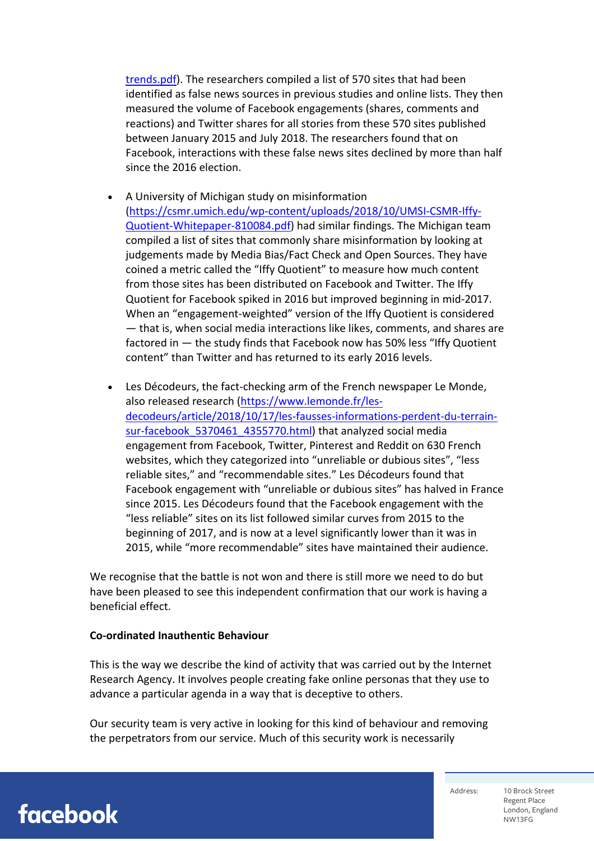trends.pdf). The researchers compiled a list of 570 sites that had been identified as false news sources in previous studies and online lists. They then measured the volume of Facebook engagements (shares, comments and reactions) and Twitter shares for all stories from these 570 sites published between January 2015 and July 2018. The researchers found that on Facebook, interactions with these false news sites declined by more than half since the 2016 election.

- A University of Michigan study on misinformation (https://csmr.umich.edu/wp-content/uploads/2018/10/UMSI-CSMR-Iffy-Quotient-Whitepaper-810084.pdf) had similar findings. The Michigan team compiled a list of sites that commonly share misinformation by looking at judgements made by Media Bias/Fact Check and Open Sources. They have coined a metric called the "Iffy Quotient" to measure how much content from those sites has been distributed on Facebook and Twitter. The Iffy Quotient for Facebook spiked in 2016 but improved beginning in mid-2017. When an "engagement-weighted" version of the Iffy Quotient is considered — that is, when social media interactions like likes, comments, and shares are factored in — the study finds that Facebook now has 50% less "Iffy Quotient content" than Twitter and has returned to its early 2016 levels.
- Les Décodeurs, the fact-checking arm of the French newspaper Le Monde, also released research (https://www.lemonde.fr/lesdecodeurs/article/2018/10/17/les-fausses-informations-perdent-du-terrainsur-facebook 5370461 4355770.html) that analyzed social media engagement from Facebook, Twitter, Pinterest and Reddit on 630 French websites, which they categorized into "unreliable or dubious sites", "less reliable sites," and "recommendable sites." Les Décodeurs found that Facebook engagement with "unreliable or dubious sites" has halved in France since 2015. Les Décodeurs found that the Facebook engagement with the "less reliable" sites on its list followed similar curves from 2015 to the beginning of 2017, and is now at a level significantly lower than it was in 2015, while "more recommendable" sites have maintained their audience.

We recognise that the battle is not won and there is still more we need to do but have been pleased to see this independent confirmation that our work is having a beneficial effect.

#### **Co-ordinated Inauthentic Behaviour**

This is the way we describe the kind of activity that was carried out by the Internet Research Agency. It involves people creating fake online personas that they use to advance a particular agenda in a way that is deceptive to others.

Our security team is very active in looking for this kind of behaviour and removing the perpetrators from our service. Much of this security work is necessarily



Address: 10 Brock Street Regent Place London, England NW13FG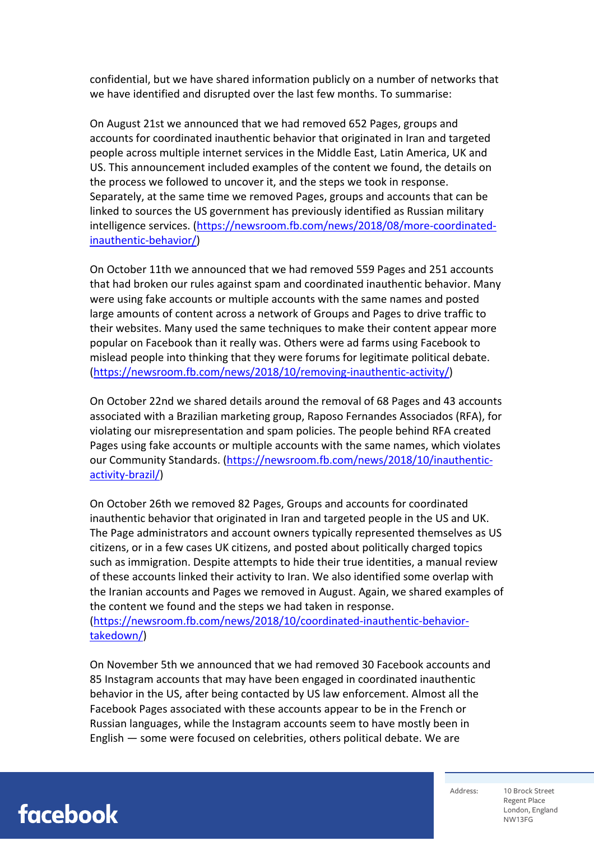confidential, but we have shared information publicly on a number of networks that we have identified and disrupted over the last few months. To summarise:

On August 21st we announced that we had removed 652 Pages, groups and accounts for coordinated inauthentic behavior that originated in Iran and targeted people across multiple internet services in the Middle East, Latin America, UK and US. This announcement included examples of the content we found, the details on the process we followed to uncover it, and the steps we took in response. Separately, at the same time we removed Pages, groups and accounts that can be linked to sources the US government has previously identified as Russian military intelligence services. (https://newsroom.fb.com/news/2018/08/more-coordinatedinauthentic-behavior/)

On October 11th we announced that we had removed 559 Pages and 251 accounts that had broken our rules against spam and coordinated inauthentic behavior. Many were using fake accounts or multiple accounts with the same names and posted large amounts of content across a network of Groups and Pages to drive traffic to their websites. Many used the same techniques to make their content appear more popular on Facebook than it really was. Others were ad farms using Facebook to mislead people into thinking that they were forums for legitimate political debate. (https://newsroom.fb.com/news/2018/10/removing-inauthentic-activity/)

On October 22nd we shared details around the removal of 68 Pages and 43 accounts associated with a Brazilian marketing group, Raposo Fernandes Associados (RFA), for violating our misrepresentation and spam policies. The people behind RFA created Pages using fake accounts or multiple accounts with the same names, which violates our Community Standards. (https://newsroom.fb.com/news/2018/10/inauthenticactivity-brazil/)

On October 26th we removed 82 Pages, Groups and accounts for coordinated inauthentic behavior that originated in Iran and targeted people in the US and UK. The Page administrators and account owners typically represented themselves as US citizens, or in a few cases UK citizens, and posted about politically charged topics such as immigration. Despite attempts to hide their true identities, a manual review of these accounts linked their activity to Iran. We also identified some overlap with the Iranian accounts and Pages we removed in August. Again, we shared examples of the content we found and the steps we had taken in response.

(https://newsroom.fb.com/news/2018/10/coordinated-inauthentic-behaviortakedown/)

On November 5th we announced that we had removed 30 Facebook accounts and 85 Instagram accounts that may have been engaged in coordinated inauthentic behavior in the US, after being contacted by US law enforcement. Almost all the Facebook Pages associated with these accounts appear to be in the French or Russian languages, while the Instagram accounts seem to have mostly been in English — some were focused on celebrities, others political debate. We are

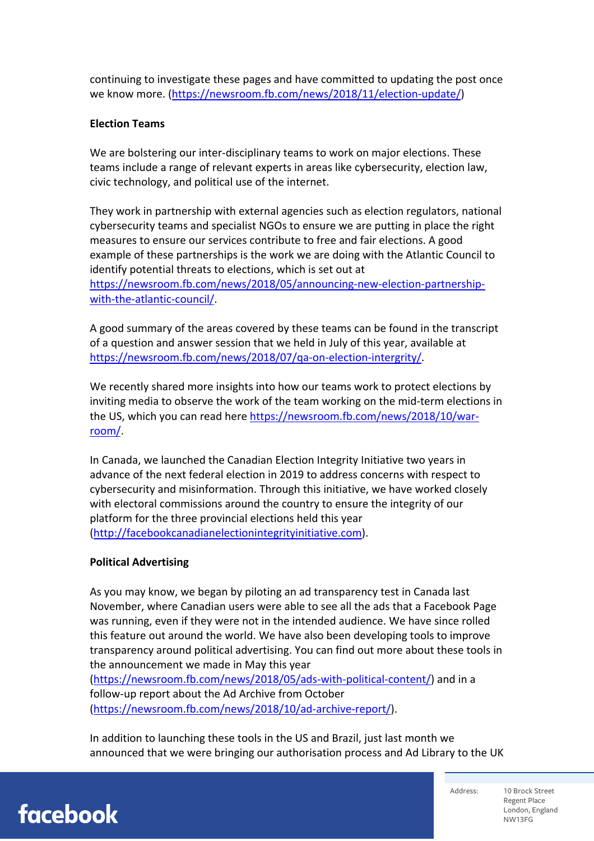continuing to investigate these pages and have committed to updating the post once we know more. (https://newsroom.fb.com/news/2018/11/election-update/)

## **Election Teams**

We are bolstering our inter-disciplinary teams to work on major elections. These teams include a range of relevant experts in areas like cybersecurity, election law, civic technology, and political use of the internet.

They work in partnership with external agencies such as election regulators, national cybersecurity teams and specialist NGOs to ensure we are putting in place the right measures to ensure our services contribute to free and fair elections. A good example of these partnerships is the work we are doing with the Atlantic Council to identify potential threats to elections, which is set out at https://newsroom.fb.com/news/2018/05/announcing-new-election-partnershipwith-the-atlantic-council/.

A good summary of the areas covered by these teams can be found in the transcript of a question and answer session that we held in July of this year, available at https://newsroom.fb.com/news/2018/07/qa-on-election-intergrity/.

We recently shared more insights into how our teams work to protect elections by inviting media to observe the work of the team working on the mid-term elections in the US, which you can read here https://newsroom.fb.com/news/2018/10/warroom/.

In Canada, we launched the Canadian Election Integrity Initiative two years in advance of the next federal election in 2019 to address concerns with respect to cybersecurity and misinformation. Through this initiative, we have worked closely with electoral commissions around the country to ensure the integrity of our platform for the three provincial elections held this year (http://facebookcanadianelectionintegrityinitiative.com).

# **Political Advertising**

As you may know, we began by piloting an ad transparency test in Canada last November, where Canadian users were able to see all the ads that a Facebook Page was running, even if they were not in the intended audience. We have since rolled this feature out around the world. We have also been developing tools to improve transparency around political advertising. You can find out more about these tools in the announcement we made in May this year

(https://newsroom.fb.com/news/2018/05/ads-with-political-content/) and in a follow-up report about the Ad Archive from October (https://newsroom.fb.com/news/2018/10/ad-archive-report/).

In addition to launching these tools in the US and Brazil, just last month we announced that we were bringing our authorisation process and Ad Library to the UK